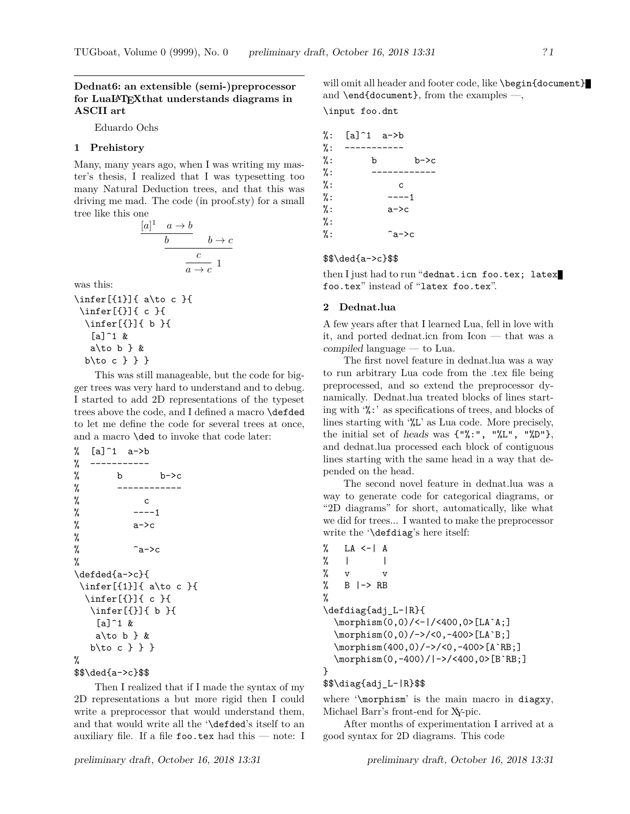# **Dednat6: an extensible (semi-)preprocessor for LuaLATEXthat understands diagrams in ASCII art**

Eduardo Ochs

## **1 Prehistory**

Many, many years ago, when I was writing my master's thesis, I realized that I was typesetting too many Natural Deduction trees, and that this was driving me mad. The code (in proof.sty) for a small tree like this one

$$
\frac{[a]^1 \quad a \to b}{b} \qquad b \to c
$$

$$
\frac{c}{a \to c} 1
$$

was this:

```
\infer[{1}]{ a\to c }{
\infer[{}]{ c }{
  \infer[{}]{ b }{
   [a]<sup>1</sup> &
   a\to b &
  b\to c } } }
```
This was still manageable, but the code for bigger trees was very hard to understand and to debug. I started to add 2D representations of the typeset trees above the code, and I defined a macro \defded to let me define the code for several trees at once, and a macro \ded to invoke that code later:

```
% [a]^1 a->b
% -----------
% b b\rightarrow c% ------------
% c
\% ---1\% a->c
%
\% \qquad \qquad \sim \sim%
\defded{a->c}{
 \infer[{1}]{ a\to c }{
 \infer[{}]{ c }{
  \infer[{}]{ b }{
   [a]^{\frown}1 \&a\to b \} &
  b\to c } } }
%
```

```
$$\ded{a->c}$$
```
Then I realized that if I made the syntax of my 2D representations a but more rigid then I could write a preprocessor that would understand them, and that would write all the '\defded's itself to an auxiliary file. If a file  $\mathbf{f}$ oo.tex had this — note: I

| %: | $[a]^{\hat{}}1 \quad a^{\hat{}}$ |       |      |
|----|----------------------------------|-------|------|
| %: |                                  |       |      |
| %: | b                                |       | b->c |
| %: |                                  |       |      |
| %: | C                                |       |      |
| %: | ----1                            |       |      |
| %: | $a->c$                           |       |      |
| %: |                                  |       |      |
| %: |                                  | ^a->c |      |
|    |                                  |       |      |

## \$\$\ded{a->c}\$\$

then I just had to run "dednat.icn foo.tex; latex foo.tex" instead of "latex foo.tex".

## **2 Dednat.lua**

A few years after that I learned Lua, fell in love with it, and ported dednat.icn from Icon — that was a compiled language — to Lua.

The first novel feature in dednat.lua was a way to run arbitrary Lua code from the .tex file being preprocessed, and so extend the preprocessor dynamically. Dednat.lua treated blocks of lines starting with '%:' as specifications of trees, and blocks of lines starting with '%L' as Lua code. More precisely, the initial set of heads was  $\{\ulcorner\text{%}: \urcorner, \urcorner\text{%} \text{L}\urcorner, \urcorner\text{%} \text{D}\urcorner\},\$ and dednat.lua processed each block of contiguous lines starting with the same head in a way that depended on the head.

The second novel feature in dednat.lua was a way to generate code for categorical diagrams, or "2D diagrams" for short, automatically, like what we did for trees... I wanted to make the preprocessor write the '\defdiag's here itself:

```
% LA <-| A
\% | |
% v v
\% B \left| \rightarrow \right| RB
%
\defdiag{adj_L-|R}{
  \morphism(0,0)/<-|/<400,0>[LA`A;]
  \morphism(0,0)/->/<0,-400>[LA`B;]
  \morphism(400,0)/->/<0,-400>[A`RB;]
  \morphism(0,-400)/|->/<400,0>[B`RB;]
}
```
## \$\$\diag{adj\_L-|R}\$\$

where '\morphism' is the main macro in diagxy, Michael Barr's front-end for XY-pic.

After months of experimentation I arrived at a good syntax for 2D diagrams. This code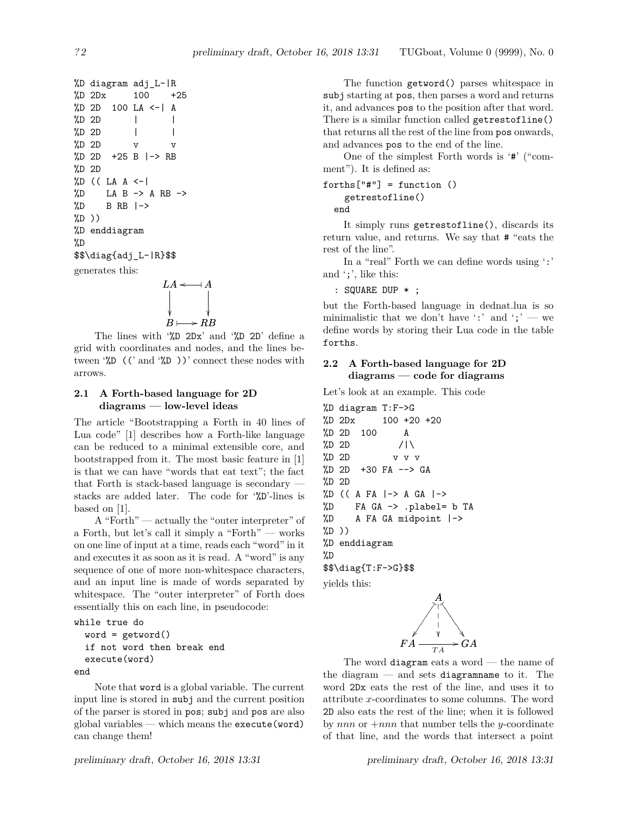```
%D diagram adj_L-|R
%D 2Dx 100 +25
%D 2D 100 LA <-| A
\frac{\%D}{\%D} 2D | |
\%D 2D | |
\%D 2D v v
%D 2D +25 B |-> RB
%D 2D
\%D ((LA A \leftarrow|
\%D LA B -> A RB ->
\%D B RB \rightarrow\sqrt[6]{D})
%D enddiagram
%D
$$\diag{adj_L-|R}$$
generates this:
```

$$
LA \xleftarrow{} A
$$
  

$$
B \longmapsto RB
$$

The lines with '%D 2Dx' and '%D 2D' define a grid with coordinates and nodes, and the lines between  $\sqrt[6]{D}$  ((' and  $\sqrt[6]{D}$ ))' connect these nodes with arrows.

# **2.1 A Forth-based language for 2D diagrams — low-level ideas**

The article "Bootstrapping a Forth in 40 lines of Lua code" [1] describes how a Forth-like language can be reduced to a minimal extensible core, and bootstrapped from it. The most basic feature in [1] is that we can have "words that eat text"; the fact that Forth is stack-based language is secondary stacks are added later. The code for '%D'-lines is based on [1].

A "Forth" — actually the "outer interpreter" of a Forth, but let's call it simply a "Forth" — works on one line of input at a time, reads each "word" in it and executes it as soon as it is read. A "word" is any sequence of one of more non-whitespace characters, and an input line is made of words separated by whitespace. The "outer interpreter" of Forth does essentially this on each line, in pseudocode:

```
while true do
  word = getword()if not word then break end
  execute(word)
end
```
Note that word is a global variable. The current input line is stored in subj and the current position of the parser is stored in pos; subj and pos are also global variables — which means the execute (word) can change them!

The function getword() parses whitespace in subj starting at pos, then parses a word and returns it, and advances pos to the position after that word. There is a similar function called getrestofline() that returns all the rest of the line from pos onwards, and advances pos to the end of the line.

One of the simplest Forth words is '#' ("comment"). It is defined as:

```
forths["\#"] = function ()getrestofline()
```
end

It simply runs getrestofline(), discards its return value, and returns. We say that # "eats the rest of the line".

In a "real" Forth we can define words using ':' and ';', like this:

: SQUARE DUP \* ;

but the Forth-based language in dednat.lua is so minimalistic that we don't have ':' and ';' — we define words by storing their Lua code in the table forths.

# **2.2 A Forth-based language for 2D diagrams — code for diagrams**

Let's look at an example. This code

```
%D diagram T:F->G
%D 2Dx 100 +20 +20
%D 2D 100 A
%D 2D /|\
%D 2D v v v
%D 2D +30 FA --> GA
%D 2D
\%D ((A FA \vert -\rangle A GA \vert -\rangle%D FA GA -> .plabel= b TA
%D A FA GA midpoint |->
%D ))
%D enddiagram
%D
$$\diag{T:F->G}$$
```
yields this:



The word diagram eats a word — the name of the diagram  $-$  and sets diagramname to it. The word 2Dx eats the rest of the line, and uses it to attribute x-coordinates to some columns. The word 2D also eats the rest of the line; when it is followed by nnn or  $+nnn$  that number tells the y-coordinate of that line, and the words that intersect a point

preliminary draft, October 16, 2018 13:31 preliminary draft, October 16, 2018 13:31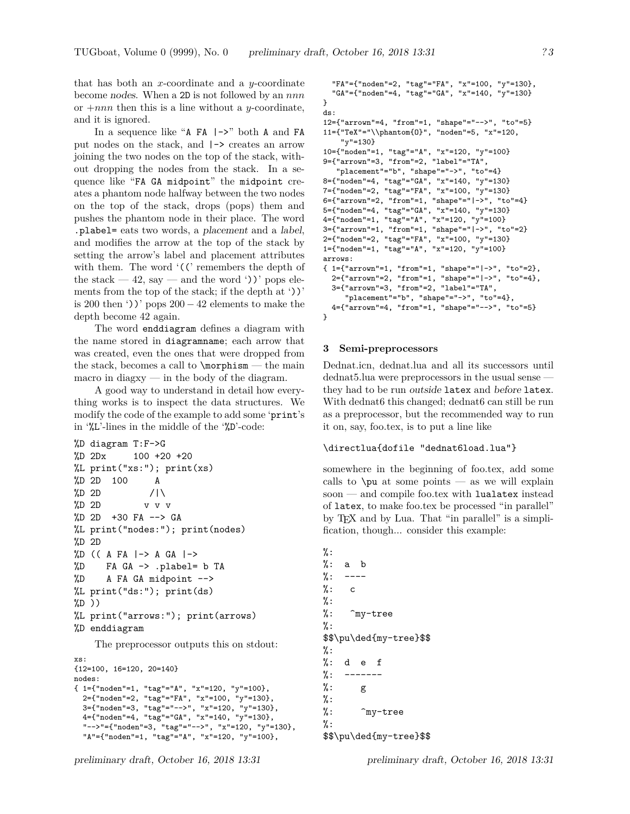that has both an x-coordinate and a y-coordinate become nodes. When a 2D is not followed by an nnn or  $+nnn$  then this is a line without a y-coordinate, and it is ignored.

In a sequence like "A  $FA$   $\rightarrow$ " both A and FA put nodes on the stack, and |-> creates an arrow joining the two nodes on the top of the stack, without dropping the nodes from the stack. In a sequence like "FA GA midpoint" the midpoint creates a phantom node halfway between the two nodes on the top of the stack, drops (pops) them and pushes the phantom node in their place. The word .plabel= eats two words, a placement and a label, and modifies the arrow at the top of the stack by setting the arrow's label and placement attributes with them. The word  $\zeta$  ( $\zeta$  remembers the depth of the stack  $-42$ , say  $-$  and the word '))' pops elements from the top of the stack; if the depth at '))' is 200 then '))' pops  $200 - 42$  elements to make the depth become 42 again.

The word enddiagram defines a diagram with the name stored in diagramname; each arrow that was created, even the ones that were dropped from the stack, becomes a call to  $\mathrm{normal}$  — the main macro in diagxy — in the body of the diagram.

A good way to understand in detail how everything works is to inspect the data structures. We modify the code of the example to add some 'print's in '%L'-lines in the middle of the '%D'-code:

```
%D diagram T:F->G
%D 2Dx 100 +20 +20
%L print("xs:"); print(xs)
%D 2D 100 A
\%D 2D //\
%D 2D v v v
%D 2D +30 FA --> GA
%L print("nodes:"); print(nodes)
%D 2D
%D (( A FA |-> A GA |->
%D FA GA -> .plabel= b TA
%D A FA GA midpoint -->
%L print("ds:"); print(ds)
%D ))
%L print("arrows:"); print(arrows)
%D enddiagram
    The preprocessor outputs this on stdout:
xs:
{12=100, 16=120, 20=140}
nodes:
{ 1={"noden"=1, "tag"="A", "x"=120, "y"=100},
 2={"noden"=2, "tag"="FA", "x"=100, "y"=130},
 3={"noden"=3, "tag"="-->", "x"=120, "y"=130},
 4={"noden"=4, "tag"="GA", "x"=140, "y"=130},
 "-->"={"noden"=3, "tag"="-->", "x"=120, "y"=130},
```

```
"A"={"noden"=1, "tag"="A", "x"=120, "y"=100},
```

```
"FA"={"noden"=2, "tag"="FA", "x"=100, "y"=130},
  "GA"={"noden"=4, "tag"="GA", "x"=140, "y"=130}
}
ds:
12={"arrown"=4, "from"=1, "shape"="-->", "to"=5}
11={"TeX"="\\phantom{O}", "noden"=5, "x"=120,
    "y"=130}
10={"noden"=1, "tag"="A", "x"=120, "y"=100}
9={"arrown"=3, "from"=2, "label"="TA",
   "placement"="b", "shape"="->", "to"=4}
8={"noden"=4, "tag"="GA", "x"=140, "y"=130}
7={"noden"=2, "tag"="FA", "x"=100, "y"=130}
6={"arrown"=2, "from"=1, "shape"="|->", "to"=4}
5={"noden"=4, "tag"="GA", "x"=140, "y"=130}
4={"noden"=1, "tag"="A", "x"=120, "y"=100}
3={"arrown"=1, "from"=1, "shape"="|->", "to"=2}
2={"noden"=2, "tag"="FA", "x"=100, "y"=130}
1={"noden"=1, "tag"="A", "x"=120, "y"=100}
arrows:
{ 1={"arrown"=1, "from"=1, "shape"="|->", "to"=2},
  2={"arrown"=2, "from"=1, "shape"="|->", "to"=4},
  3={"arrown"=3, "from"=2, "label"="TA",
     "placement"="b", "shape"="->", "to"=4},
  4={"arrown"=4, "from"=1, "shape"="-->", "to"=5}
}
```
# **3 Semi-preprocessors**

Dednat.icn, dednat.lua and all its successors until dednat5.lua were preprocessors in the usual sense they had to be run outside latex and before latex. With dednat6 this changed; dednat6 can still be run as a preprocessor, but the recommended way to run it on, say, foo.tex, is to put a line like

## \directlua{dofile "dednat6load.lua"}

somewhere in the beginning of foo.tex, add some calls to  $\pu$  at some points — as we will explain soon — and compile foo.tex with lualatex instead of latex, to make foo.tex be processed "in parallel" by TEX and by Lua. That "in parallel" is a simplification, though... consider this example:

```
%:
\frac{9}{6}: a b
\frac{9}{6}: ----
\%: c
%:
\frac{1}{2}: \frac{1}{2} my-tree
\frac{9}{6}:
$$\pu\ded{my-tree}$$
%:
\frac{9}{6}: d e f
\frac{\%}{\%}: -------
%: g
%:
%: ^my-tree
%:
$$\pu\ded{my-tree}$$
```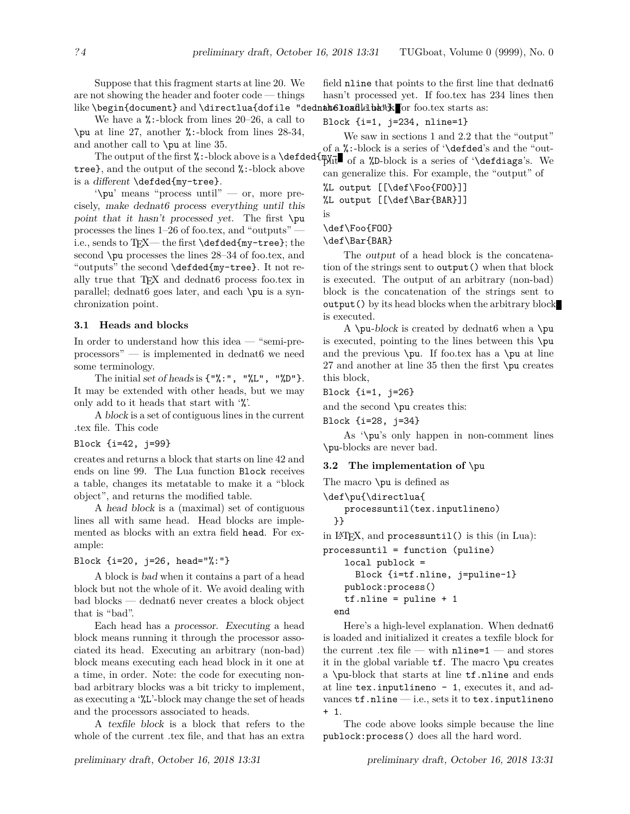Suppose that this fragment starts at line 20. We are not showing the header and footer code — things like \begin{document} and \directlua{dofile "dednamt6loadlelbaO'& or foo.tex starts as:

We have a  $\frac{\pi}{6}$ :-block from lines 20–26, a call to \pu at line 27, another %:-block from lines 28-34, and another call to \pu at line 35.

tree}, and the output of the second %:-block above is a different \defded{my-tree}.

'\pu' means "process until" — or, more precisely, make dednat6 process everything until this point that it hasn't processed yet. The first \pu processes the lines 1–26 of foo.tex, and "outputs" i.e., sends to TEX— the first \defded{my-tree}; the second \pu processes the lines 28–34 of foo.tex, and "outputs" the second \defded{my-tree}. It not really true that T<sub>F</sub>X and dednat6 process foo.tex in parallel; dednat6 goes later, and each \pu is a synchronization point.

### **3.1 Heads and blocks**

In order to understand how this idea — "semi-preprocessors" — is implemented in dednat6 we need some terminology.

The initial set of heads is  $\{\nabla x : \nabla, \nabla \mathbb{L} \nabla, \nabla \mathbb{L} \nabla \}$ . It may be extended with other heads, but we may only add to it heads that start with '%'.

A block is a set of contiguous lines in the current .tex file. This code

Block {i=42, j=99}

creates and returns a block that starts on line 42 and ends on line 99. The Lua function Block receives a table, changes its metatable to make it a "block object", and returns the modified table.

A head block is a (maximal) set of contiguous lines all with same head. Head blocks are implemented as blocks with an extra field head. For example:

# Block {i=20, j=26, head="%:"}

A block is bad when it contains a part of a head block but not the whole of it. We avoid dealing with bad blocks — dednat6 never creates a block object that is "bad".

Each head has a processor. Executing a head block means running it through the processor associated its head. Executing an arbitrary (non-bad) block means executing each head block in it one at a time, in order. Note: the code for executing nonbad arbitrary blocks was a bit tricky to implement, as executing a '%L'-block may change the set of heads and the processors associated to heads.

A texfile block is a block that refers to the whole of the current .tex file, and that has an extra field nline that points to the first line that dednat6 hasn't processed yet. If foo.tex has 234 lines then

#### Block {i=1, j=234, nline=1}

The output of the first %:-block above is a  $\def\def\def\def{\}+\text{def}\def\def{\}$  of a %D-block is a series of ' $\def\def\def\def{\}=$   $\def\def\def{\}=$ We saw in sections 1 and 2.2 that the "output" of a %:-block is a series of '\defded's and the "outcan generalize this. For example, the "output" of

%L output [[\def\Foo{FOO}]]

%L output [[\def\Bar{BAR}]]

```
is
```
## \def\Foo{FOO}

\def\Bar{BAR}

The output of a head block is the concatenation of the strings sent to output() when that block is executed. The output of an arbitrary (non-bad) block is the concatenation of the strings sent to output() by its head blocks when the arbitrary block is executed.

A \pu-block is created by dednat6 when a \pu is executed, pointing to the lines between this \pu and the previous  $\pu$ . If foo.tex has a  $\pu$  at line 27 and another at line 35 then the first \pu creates this block,

Block {i=1, j=26}

and the second \pu creates this:

Block {i=28, j=34}

As '\pu's only happen in non-comment lines \pu-blocks are never bad.

#### **3.2 The implementation of** \pu

The macro \pu is defined as

```
\def\pu{\directlua{
```
processuntil(tex.inputlineno) }}

in LATEX, and processuntil() is this (in Lua):

```
processuntil = function (puline)
    local publock =
      Block {i=tf.nline, j=puline-1}
    publock:process()
    tf.nline = pulline + 1end
```
Here's a high-level explanation. When dednat6 is loaded and initialized it creates a texfile block for the current .tex file — with nline=1 — and stores it in the global variable tf. The macro \pu creates a \pu-block that starts at line tf.nline and ends at line tex.inputlineno - 1, executes it, and advances  $\texttt{tf}.\texttt{nline} - \text{i.e., sets it to \texttt{tex.inputlineno}}$ + 1.

The code above looks simple because the line publock:process() does all the hard word.